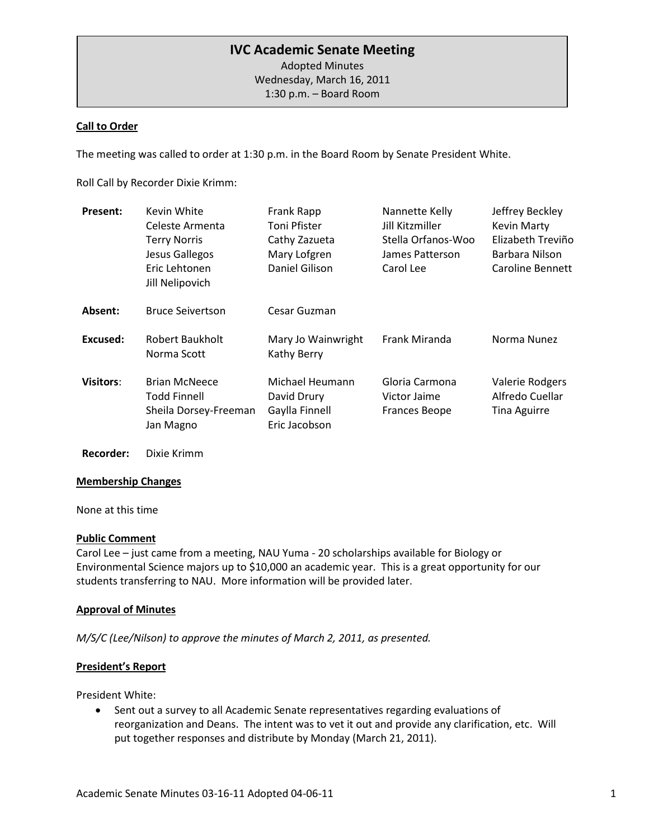# **IVC Academic Senate Meeting**

Adopted Minutes Wednesday, March 16, 2011 1:30 p.m. – Board Room

### **Call to Order**

The meeting was called to order at 1:30 p.m. in the Board Room by Senate President White.

Roll Call by Recorder Dixie Krimm:

| <b>Present:</b>  | Kevin White<br>Celeste Armenta<br><b>Terry Norris</b><br>Jesus Gallegos<br>Eric Lehtonen<br>Jill Nelipovich | Frank Rapp<br>Toni Pfister<br>Cathy Zazueta<br>Mary Lofgren<br>Daniel Gilison | Nannette Kelly<br>Jill Kitzmiller<br>Stella Orfanos-Woo<br>James Patterson<br>Carol Lee | Jeffrey Beckley<br><b>Kevin Marty</b><br>Elizabeth Treviño<br>Barbara Nilson<br>Caroline Bennett |
|------------------|-------------------------------------------------------------------------------------------------------------|-------------------------------------------------------------------------------|-----------------------------------------------------------------------------------------|--------------------------------------------------------------------------------------------------|
| Absent:          | <b>Bruce Seivertson</b>                                                                                     | Cesar Guzman                                                                  |                                                                                         |                                                                                                  |
| Excused:         | Robert Baukholt<br>Norma Scott                                                                              | Mary Jo Wainwright<br>Kathy Berry                                             | Frank Miranda                                                                           | Norma Nunez                                                                                      |
| <b>Visitors:</b> | <b>Brian McNeece</b><br>Todd Finnell<br>Sheila Dorsey-Freeman<br>Jan Magno                                  | Michael Heumann<br>David Drury<br>Gaylla Finnell<br>Eric Jacobson             | Gloria Carmona<br>Victor Jaime<br><b>Frances Beope</b>                                  | <b>Valerie Rodgers</b><br>Alfredo Cuellar<br><b>Tina Aguirre</b>                                 |

#### **Recorder:** Dixie Krimm

#### **Membership Changes**

None at this time

#### **Public Comment**

Carol Lee – just came from a meeting, NAU Yuma - 20 scholarships available for Biology or Environmental Science majors up to \$10,000 an academic year. This is a great opportunity for our students transferring to NAU. More information will be provided later.

#### **Approval of Minutes**

*M/S/C (Lee/Nilson) to approve the minutes of March 2, 2011, as presented.* 

#### **President's Report**

President White:

• Sent out a survey to all Academic Senate representatives regarding evaluations of reorganization and Deans. The intent was to vet it out and provide any clarification, etc. Will put together responses and distribute by Monday (March 21, 2011).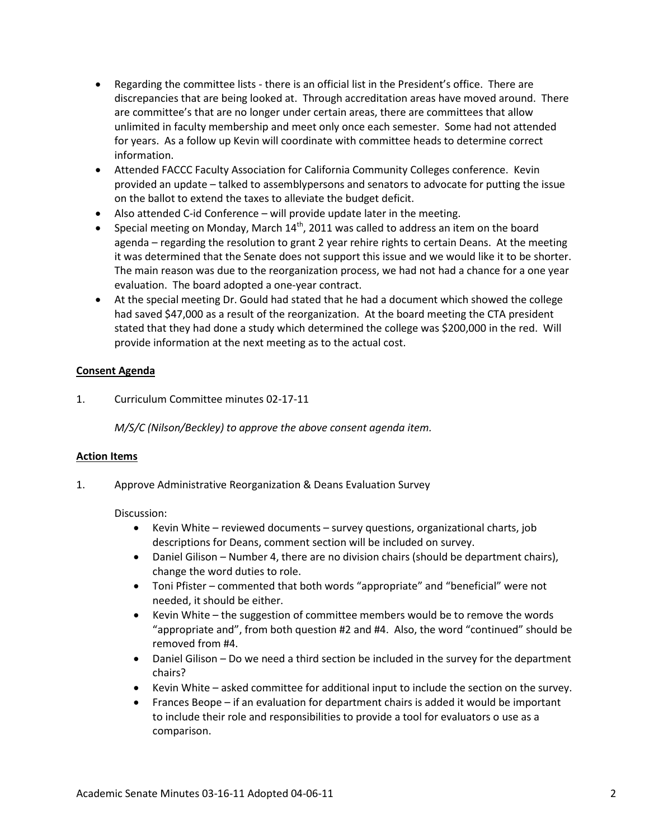- Regarding the committee lists there is an official list in the President's office. There are discrepancies that are being looked at. Through accreditation areas have moved around. There are committee's that are no longer under certain areas, there are committees that allow unlimited in faculty membership and meet only once each semester. Some had not attended for years. As a follow up Kevin will coordinate with committee heads to determine correct information.
- Attended FACCC Faculty Association for California Community Colleges conference. Kevin provided an update – talked to assemblypersons and senators to advocate for putting the issue on the ballot to extend the taxes to alleviate the budget deficit.
- Also attended C-id Conference will provide update later in the meeting.
- Special meeting on Monday, March  $14<sup>th</sup>$ , 2011 was called to address an item on the board agenda – regarding the resolution to grant 2 year rehire rights to certain Deans. At the meeting it was determined that the Senate does not support this issue and we would like it to be shorter. The main reason was due to the reorganization process, we had not had a chance for a one year evaluation. The board adopted a one-year contract.
- At the special meeting Dr. Gould had stated that he had a document which showed the college had saved \$47,000 as a result of the reorganization. At the board meeting the CTA president stated that they had done a study which determined the college was \$200,000 in the red. Will provide information at the next meeting as to the actual cost.

## **Consent Agenda**

1. Curriculum Committee minutes 02-17-11

*M/S/C (Nilson/Beckley) to approve the above consent agenda item.*

## **Action Items**

1. Approve Administrative Reorganization & Deans Evaluation Survey

## Discussion:

- Kevin White reviewed documents survey questions, organizational charts, job descriptions for Deans, comment section will be included on survey.
- Daniel Gilison Number 4, there are no division chairs (should be department chairs), change the word duties to role.
- Toni Pfister commented that both words "appropriate" and "beneficial" were not needed, it should be either.
- Kevin White the suggestion of committee members would be to remove the words "appropriate and", from both question #2 and #4. Also, the word "continued" should be removed from #4.
- Daniel Gilison Do we need a third section be included in the survey for the department chairs?
- Kevin White asked committee for additional input to include the section on the survey.
- Frances Beope if an evaluation for department chairs is added it would be important to include their role and responsibilities to provide a tool for evaluators o use as a comparison.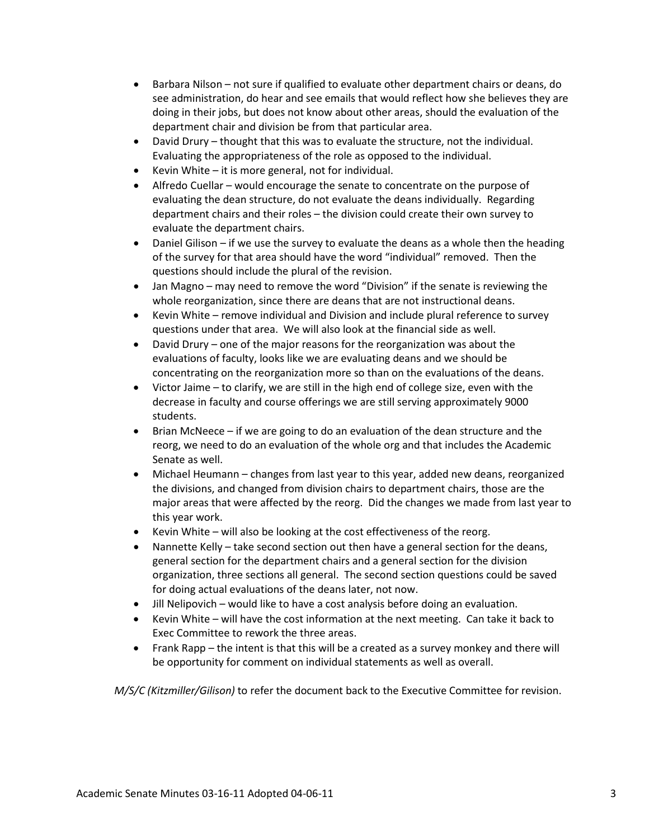- Barbara Nilson not sure if qualified to evaluate other department chairs or deans, do see administration, do hear and see emails that would reflect how she believes they are doing in their jobs, but does not know about other areas, should the evaluation of the department chair and division be from that particular area.
- David Drury thought that this was to evaluate the structure, not the individual. Evaluating the appropriateness of the role as opposed to the individual.
- Kevin White  $-$  it is more general, not for individual.
- Alfredo Cuellar would encourage the senate to concentrate on the purpose of evaluating the dean structure, do not evaluate the deans individually. Regarding department chairs and their roles – the division could create their own survey to evaluate the department chairs.
- Daniel Gilison if we use the survey to evaluate the deans as a whole then the heading of the survey for that area should have the word "individual" removed. Then the questions should include the plural of the revision.
- Jan Magno may need to remove the word "Division" if the senate is reviewing the whole reorganization, since there are deans that are not instructional deans.
- Kevin White remove individual and Division and include plural reference to survey questions under that area. We will also look at the financial side as well.
- David Drury one of the major reasons for the reorganization was about the evaluations of faculty, looks like we are evaluating deans and we should be concentrating on the reorganization more so than on the evaluations of the deans.
- Victor Jaime to clarify, we are still in the high end of college size, even with the decrease in faculty and course offerings we are still serving approximately 9000 students.
- Brian McNeece if we are going to do an evaluation of the dean structure and the reorg, we need to do an evaluation of the whole org and that includes the Academic Senate as well.
- Michael Heumann changes from last year to this year, added new deans, reorganized the divisions, and changed from division chairs to department chairs, those are the major areas that were affected by the reorg. Did the changes we made from last year to this year work.
- Kevin White will also be looking at the cost effectiveness of the reorg.
- Nannette Kelly take second section out then have a general section for the deans, general section for the department chairs and a general section for the division organization, three sections all general. The second section questions could be saved for doing actual evaluations of the deans later, not now.
- Jill Nelipovich would like to have a cost analysis before doing an evaluation.
- Kevin White will have the cost information at the next meeting. Can take it back to Exec Committee to rework the three areas.
- Frank Rapp the intent is that this will be a created as a survey monkey and there will be opportunity for comment on individual statements as well as overall.

*M/S/C (Kitzmiller/Gilison)* to refer the document back to the Executive Committee for revision.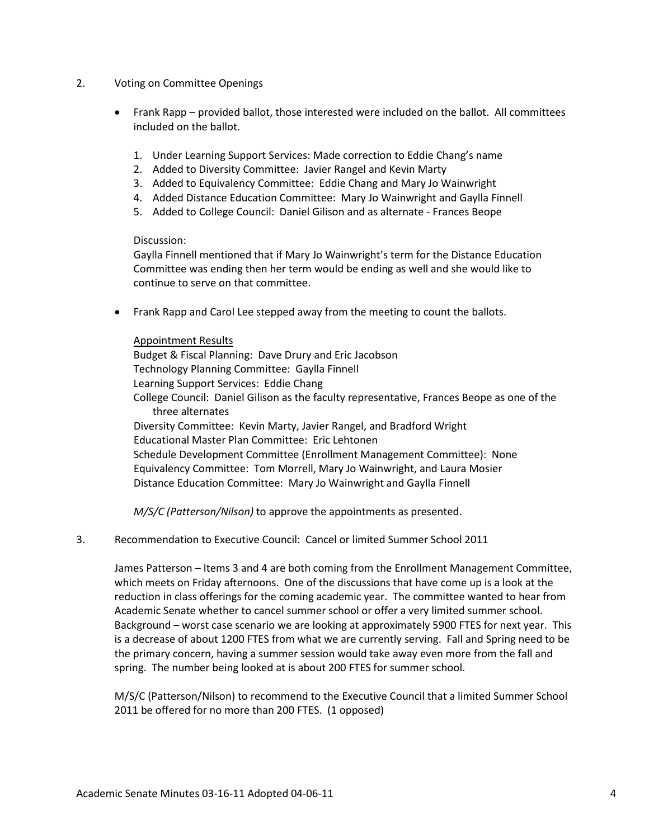- 2. Voting on Committee Openings
	- Frank Rapp provided ballot, those interested were included on the ballot. All committees included on the ballot.
		- 1. Under Learning Support Services: Made correction to Eddie Chang's name
		- 2. Added to Diversity Committee: Javier Rangel and Kevin Marty
		- 3. Added to Equivalency Committee: Eddie Chang and Mary Jo Wainwright
		- 4. Added Distance Education Committee: Mary Jo Wainwright and Gaylla Finnell
		- 5. Added to College Council: Daniel Gilison and as alternate Frances Beope

#### Discussion:

Gaylla Finnell mentioned that if Mary Jo Wainwright's term for the Distance Education Committee was ending then her term would be ending as well and she would like to continue to serve on that committee.

• Frank Rapp and Carol Lee stepped away from the meeting to count the ballots.

#### Appointment Results

Budget & Fiscal Planning: Dave Drury and Eric Jacobson Technology Planning Committee: Gaylla Finnell Learning Support Services: Eddie Chang College Council: Daniel Gilison as the faculty representative, Frances Beope as one of the three alternates Diversity Committee: Kevin Marty, Javier Rangel, and Bradford Wright Educational Master Plan Committee: Eric Lehtonen Schedule Development Committee (Enrollment Management Committee): None Equivalency Committee: Tom Morrell, Mary Jo Wainwright, and Laura Mosier Distance Education Committee: Mary Jo Wainwright and Gaylla Finnell

*M/S/C (Patterson/Nilson)* to approve the appointments as presented.

#### 3. Recommendation to Executive Council: Cancel or limited Summer School 2011

James Patterson – Items 3 and 4 are both coming from the Enrollment Management Committee, which meets on Friday afternoons. One of the discussions that have come up is a look at the reduction in class offerings for the coming academic year. The committee wanted to hear from Academic Senate whether to cancel summer school or offer a very limited summer school. Background – worst case scenario we are looking at approximately 5900 FTES for next year. This is a decrease of about 1200 FTES from what we are currently serving. Fall and Spring need to be the primary concern, having a summer session would take away even more from the fall and spring. The number being looked at is about 200 FTES for summer school.

M/S/C (Patterson/Nilson) to recommend to the Executive Council that a limited Summer School 2011 be offered for no more than 200 FTES. (1 opposed)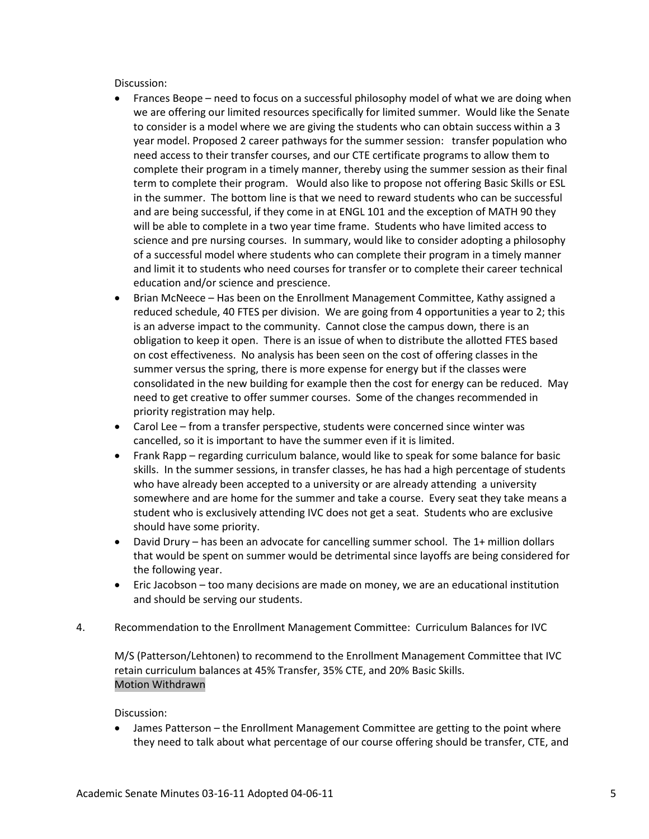Discussion:

- Frances Beope need to focus on a successful philosophy model of what we are doing when we are offering our limited resources specifically for limited summer. Would like the Senate to consider is a model where we are giving the students who can obtain success within a 3 year model. Proposed 2 career pathways for the summer session: transfer population who need access to their transfer courses, and our CTE certificate programs to allow them to complete their program in a timely manner, thereby using the summer session as their final term to complete their program. Would also like to propose not offering Basic Skills or ESL in the summer. The bottom line is that we need to reward students who can be successful and are being successful, if they come in at ENGL 101 and the exception of MATH 90 they will be able to complete in a two year time frame. Students who have limited access to science and pre nursing courses. In summary, would like to consider adopting a philosophy of a successful model where students who can complete their program in a timely manner and limit it to students who need courses for transfer or to complete their career technical education and/or science and prescience.
- Brian McNeece Has been on the Enrollment Management Committee, Kathy assigned a reduced schedule, 40 FTES per division. We are going from 4 opportunities a year to 2; this is an adverse impact to the community. Cannot close the campus down, there is an obligation to keep it open. There is an issue of when to distribute the allotted FTES based on cost effectiveness. No analysis has been seen on the cost of offering classes in the summer versus the spring, there is more expense for energy but if the classes were consolidated in the new building for example then the cost for energy can be reduced. May need to get creative to offer summer courses. Some of the changes recommended in priority registration may help.
- Carol Lee from a transfer perspective, students were concerned since winter was cancelled, so it is important to have the summer even if it is limited.
- Frank Rapp regarding curriculum balance, would like to speak for some balance for basic skills. In the summer sessions, in transfer classes, he has had a high percentage of students who have already been accepted to a university or are already attending a university somewhere and are home for the summer and take a course. Every seat they take means a student who is exclusively attending IVC does not get a seat. Students who are exclusive should have some priority.
- David Drury has been an advocate for cancelling summer school. The 1+ million dollars that would be spent on summer would be detrimental since layoffs are being considered for the following year.
- Eric Jacobson too many decisions are made on money, we are an educational institution and should be serving our students.
- 4. Recommendation to the Enrollment Management Committee: Curriculum Balances for IVC

M/S (Patterson/Lehtonen) to recommend to the Enrollment Management Committee that IVC retain curriculum balances at 45% Transfer, 35% CTE, and 20% Basic Skills. Motion Withdrawn

Discussion:

• James Patterson – the Enrollment Management Committee are getting to the point where they need to talk about what percentage of our course offering should be transfer, CTE, and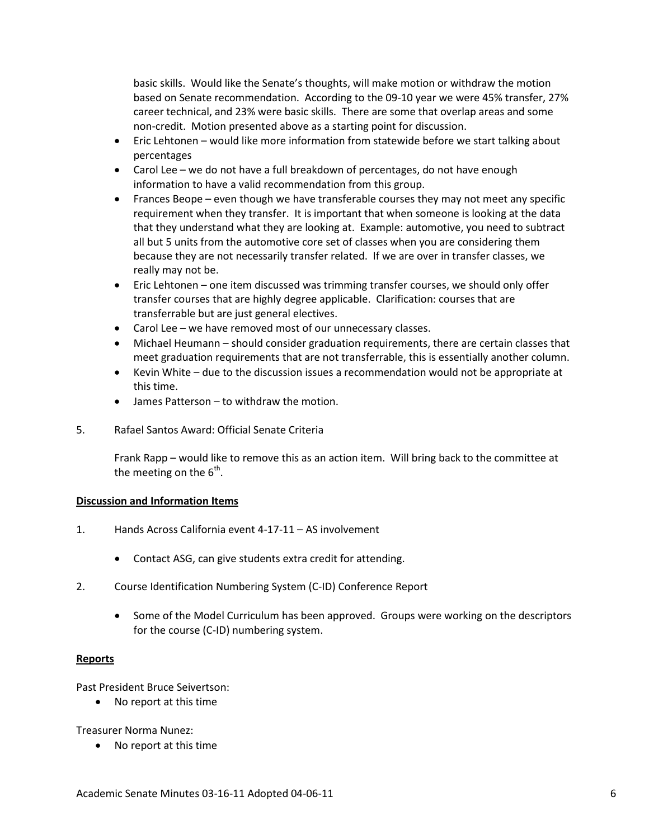basic skills. Would like the Senate's thoughts, will make motion or withdraw the motion based on Senate recommendation. According to the 09-10 year we were 45% transfer, 27% career technical, and 23% were basic skills. There are some that overlap areas and some non-credit. Motion presented above as a starting point for discussion.

- Eric Lehtonen would like more information from statewide before we start talking about percentages
- Carol Lee we do not have a full breakdown of percentages, do not have enough information to have a valid recommendation from this group.
- Frances Beope even though we have transferable courses they may not meet any specific requirement when they transfer. It is important that when someone is looking at the data that they understand what they are looking at. Example: automotive, you need to subtract all but 5 units from the automotive core set of classes when you are considering them because they are not necessarily transfer related. If we are over in transfer classes, we really may not be.
- Eric Lehtonen one item discussed was trimming transfer courses, we should only offer transfer courses that are highly degree applicable. Clarification: courses that are transferrable but are just general electives.
- Carol Lee we have removed most of our unnecessary classes.
- Michael Heumann should consider graduation requirements, there are certain classes that meet graduation requirements that are not transferrable, this is essentially another column.
- Kevin White due to the discussion issues a recommendation would not be appropriate at this time.
- James Patterson to withdraw the motion.
- 5. Rafael Santos Award: Official Senate Criteria

Frank Rapp – would like to remove this as an action item. Will bring back to the committee at the meeting on the  $6<sup>th</sup>$ .

## **Discussion and Information Items**

- 1. Hands Across California event 4-17-11 AS involvement
	- Contact ASG, can give students extra credit for attending.
- 2. Course Identification Numbering System (C-ID) Conference Report
	- Some of the Model Curriculum has been approved. Groups were working on the descriptors for the course (C-ID) numbering system.

## **Reports**

Past President Bruce Seivertson:

• No report at this time

Treasurer Norma Nunez:

• No report at this time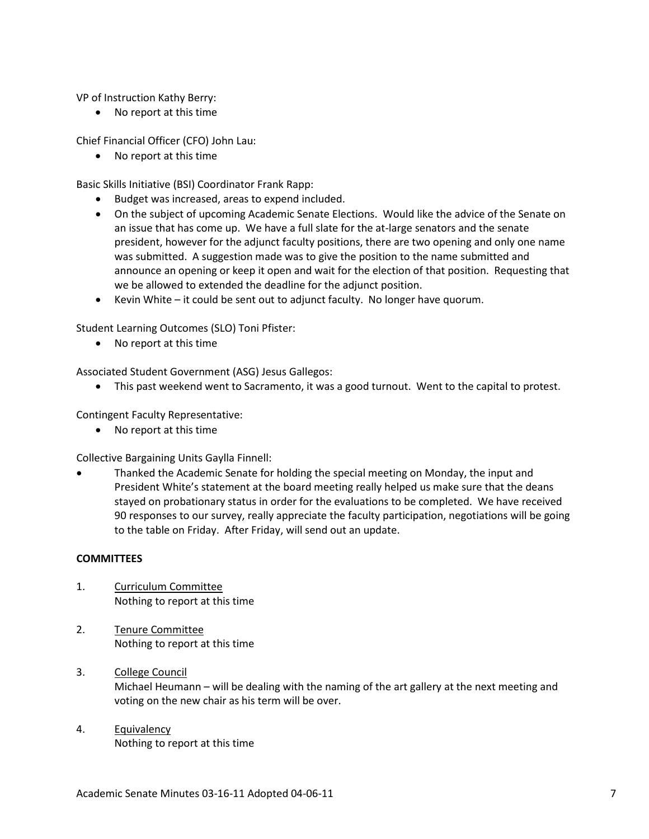VP of Instruction Kathy Berry:

• No report at this time

Chief Financial Officer (CFO) John Lau:

• No report at this time

Basic Skills Initiative (BSI) Coordinator Frank Rapp:

- Budget was increased, areas to expend included.
- On the subject of upcoming Academic Senate Elections. Would like the advice of the Senate on an issue that has come up. We have a full slate for the at-large senators and the senate president, however for the adjunct faculty positions, there are two opening and only one name was submitted. A suggestion made was to give the position to the name submitted and announce an opening or keep it open and wait for the election of that position. Requesting that we be allowed to extended the deadline for the adjunct position.
- Kevin White it could be sent out to adjunct faculty. No longer have quorum.

Student Learning Outcomes (SLO) Toni Pfister:

• No report at this time

Associated Student Government (ASG) Jesus Gallegos:

• This past weekend went to Sacramento, it was a good turnout. Went to the capital to protest.

Contingent Faculty Representative:

• No report at this time

Collective Bargaining Units Gaylla Finnell:

• Thanked the Academic Senate for holding the special meeting on Monday, the input and President White's statement at the board meeting really helped us make sure that the deans stayed on probationary status in order for the evaluations to be completed. We have received 90 responses to our survey, really appreciate the faculty participation, negotiations will be going to the table on Friday. After Friday, will send out an update.

## **COMMITTEES**

- 1. Curriculum Committee Nothing to report at this time
- 2. Tenure Committee Nothing to report at this time
- 3. College Council Michael Heumann – will be dealing with the naming of the art gallery at the next meeting and voting on the new chair as his term will be over.
- 4. Equivalency Nothing to report at this time